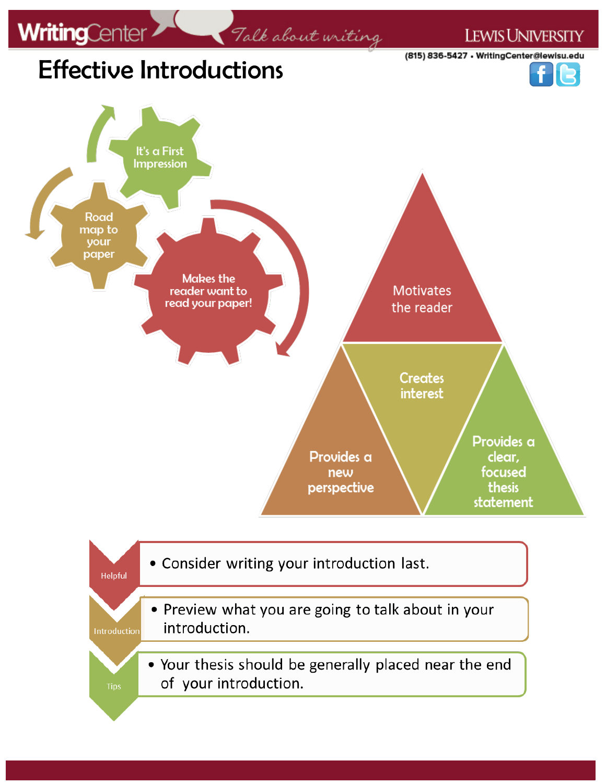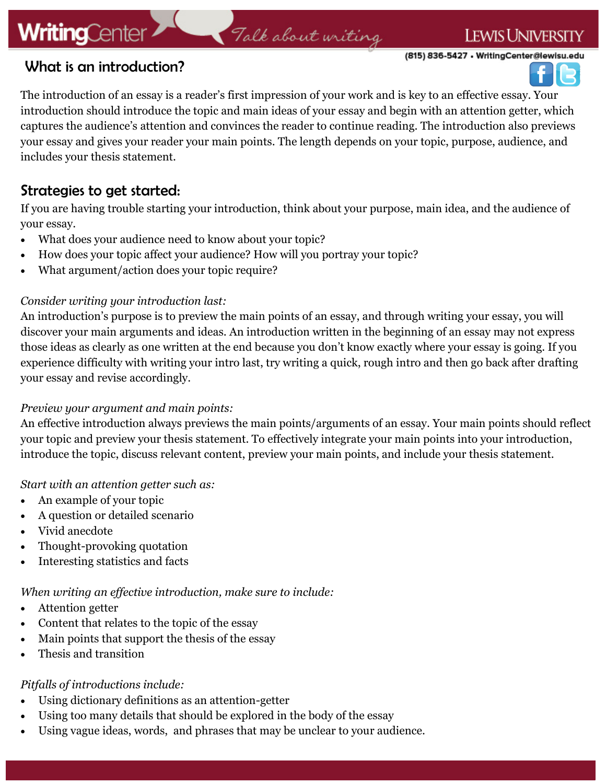# **WritingCenter**

# Talk about writing

(815) 836-5427 • WritingCenter@lewisu.edu

**LEWIS UNIVERSITY** 



## What is an introduction?

The introduction of an essay is a reader's first impression of your work and is key to an effective essay. Your introduction should introduce the topic and main ideas of your essay and begin with an attention getter, which captures the audience's attention and convinces the reader to continue reading. The introduction also previews your essay and gives your reader your main points. The length depends on your topic, purpose, audience, and includes your thesis statement.

## Strategies to get started:

If you are having trouble starting your introduction, think about your purpose, main idea, and the audience of your essay.

- What does your audience need to know about your topic?
- How does your topic affect your audience? How will you portray your topic?
- What argument/action does your topic require?

### *Consider writing your introduction last:*

An introduction's purpose is to preview the main points of an essay, and through writing your essay, you will discover your main arguments and ideas. An introduction written in the beginning of an essay may not express those ideas as clearly as one written at the end because you don't know exactly where your essay is going. If you experience difficulty with writing your intro last, try writing a quick, rough intro and then go back after drafting your essay and revise accordingly.

### *Preview your argument and main points:*

An effective introduction always previews the main points/arguments of an essay. Your main points should reflect your topic and preview your thesis statement. To effectively integrate your main points into your introduction, introduce the topic, discuss relevant content, preview your main points, and include your thesis statement.

#### *Start with an attention getter such as:*

- An example of your topic
- A question or detailed scenario
- Vivid anecdote
- Thought-provoking quotation
- Interesting statistics and facts

### *When writing an effective introduction, make sure to include:*

- Attention getter
- Content that relates to the topic of the essay
- Main points that support the thesis of the essay
- Thesis and transition

### *Pitfalls of introductions include:*

- Using dictionary definitions as an attention-getter
- Using too many details that should be explored in the body of the essay
- Using vague ideas, words, and phrases that may be unclear to your audience.